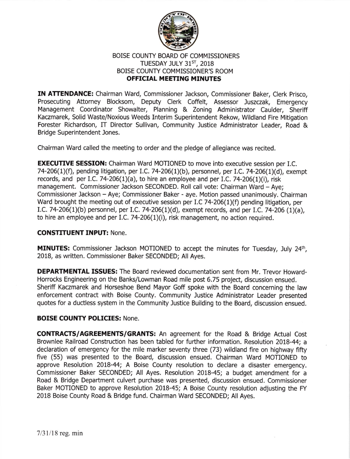

# BOISE COUNTY BOARD OF COMMISSIONERS TUESDAY JULY  $31^{ST}$ , 2018 BOISE COUNTY COMMISSIONER'S ROOM OFFICIAL MEETING MINUTES

IN ATTENDANCE: Chairman Ward, Commissioner Jackson, Commissioner Baker, Clerk Prisco, Prosecuting Attorney Blocksom, Deputy Clerk Coffelt, Assessor Juszczak, Emergency Management Coordinator Showalter, Planning & Zoning Administrator Caulder, Sheriff Kaczmarek, Solid Waste/Noxious Weeds Interim Superintendent Rekow, Wildland Fire Mitigation Forester Richardson, IT Director Sullivan, Community Justice Administrator Leader, Road & Bridge Superintendent Jones.

Chairman Ward called the meeting to order and the pledge of allegiance was recited.

**EXECUTIVE SESSION:** Chairman Ward MOTIONED to move into executive session per I.C. 74-206(1)(f), pending litigation, per I.C. 74-206(1)(b), personnel, per I.C. 74-206(1)(d), exempt records, and per I.C. 74-206(1)(a), to hire an employee and per I.C. 74-206(1)(i), risk management. Commissioner Jackson SECONDED. Roll call vote: Chairman Ward - Ave: Commissioner Jackson - Aye; Commissioner Baker - aye. Motion passed unanimously. Chalrman Ward brought the meeting out of executive session per I.C 74-206(1)(f) pending litigation, per I.C. 74-206(1)(b) personnel, per I.C. 74-206(1)(d), exempt records, and per I.C. 74-206 (1)(a), to hire an employee and per I.C. 74-206 $(1)(i)$ , risk management, no action required.

### CONSTITUENT INPUT: None.

MINUTES: Commissioner Jackson MOTIONED to accept the minutes for Tuesday, July 24th, 2018, as written. Commissioner Baker SECONDED; All Ayes.

DEPARTMENTAL ISSUES: The Board reviewed documentation sent from Mr. Trevor Howard-Horrocks Engineering on the Banks/Lowman Road mile post 6.75 project, discussion ensued. Sheriff Kaczmarek and Horseshoe Bend Mayor Goff spoke with the Board concerning the law enforcement contract with Boise County. Community Justice Administrator Leader presented quotes for a ductless system in the Community Justice Building to the Board, discussion ensued.

# BOISE COUNTY POLICIES: None.

CONTRACTS/AGREEMENTS/GRANTS: An agreement for the Road & Bridge Actual Cost Brownlee Railroad Construction has been tabled for futher information. Resolution 2018-44; <sup>a</sup> declaration of emergency for the mile marker seventy three (73) wildland fire on highway fifty five (55) was presented to the Board, discussion ensued. Chairman Ward MOTIONED to approve Resolution 2018-44; A Boise County resolution to declare a disaster emergency. Commissioner Baker SECONDED; All Ayes. Resolution 2018-45; a budget amendment for <sup>a</sup> Road & Bridge Department culvert purchase was presented, discussion ensued. Commissioner Baker MOTIONED to approve Resolution 2018-45; A Boise County resolution adjusting the FY 2018 Boise County Road & Bridge fund. Chairman Ward SECONDED; All Ayes.